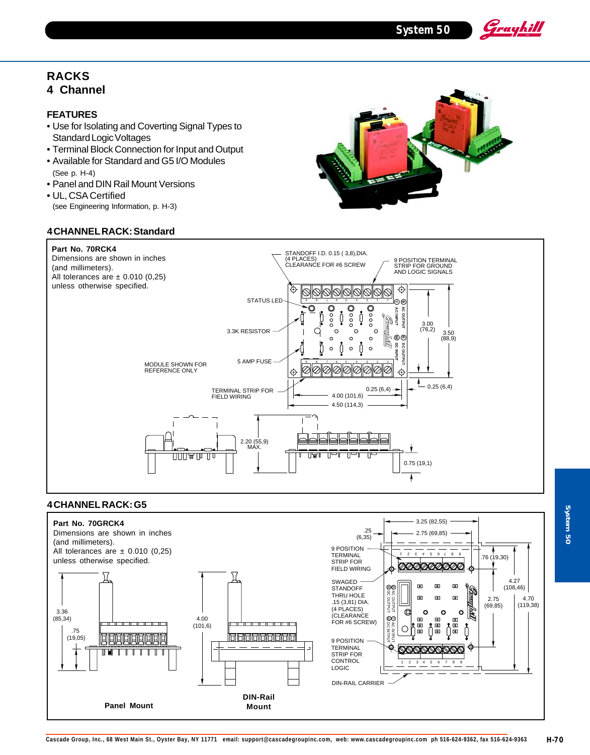**System 50**

Grayhill

# **RACKS 4 Channel**

### **FEATURES**

- Use for Isolating and Coverting Signal Types to Standard Logic Voltages
- Terminal Block Connection for Input and Output
- Available for Standard and G5 I/O Modules (See p. H-4)
- Panel and DIN Rail Mount Versions
- UL, CSA Certified (see Engineering Information, p. H-3)

### **4 CHANNEL RACK: Standard**





# **4 CHANNEL RACK: G5**